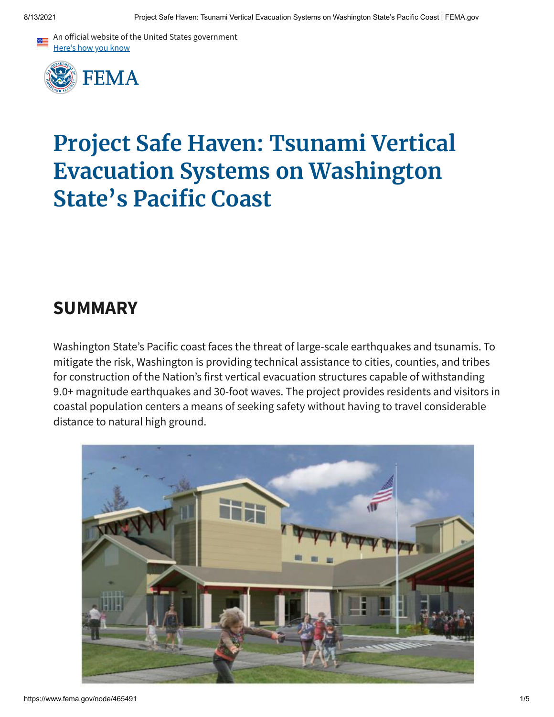



# **Project Safe Haven: Tsunami Vertical Evacuation Systems on Washington State's Pacific Coast**

### **SUMMARY**

Washington State's Pacific coast faces the threat of large-scale earthquakes and tsunamis. To mitigate the risk, Washington is providing technical assistance to cities, counties, and tribes for construction of the Nation's first vertical evacuation structures capable of withstanding 9.0+ magnitude earthquakes and 30-foot waves. The project provides residents and visitors in coastal population centers a means of seeking safety without having to travel considerable distance to natural high ground.

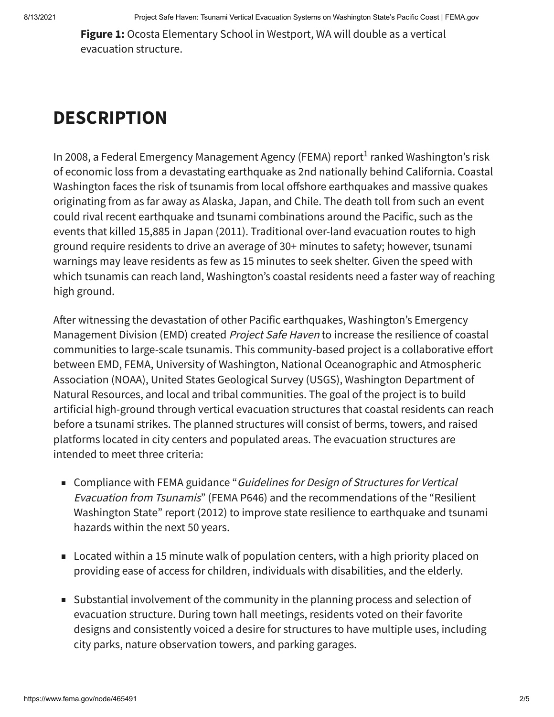**Figure 1:** Ocosta Elementary School in Westport, WA will double as a vertical evacuation structure.

## **DESCRIPTION**

In 2008, a Federal Emergency Management Agency (FEMA) report<sup>1</sup> ranked Washington's risk of economic loss from a devastating earthquake as 2nd nationally behind California. Coastal Washington faces the risk of tsunamis from local offshore earthquakes and massive quakes originating from as far away as Alaska, Japan, and Chile. The death toll from such an event could rival recent earthquake and tsunami combinations around the Pacific, such as the events that killed 15,885 in Japan (2011). Traditional over-land evacuation routes to high ground require residents to drive an average of 30+ minutes to safety; however, tsunami warnings may leave residents as few as 15 minutes to seek shelter. Given the speed with which tsunamis can reach land, Washington's coastal residents need a faster way of reaching high ground.

After witnessing the devastation of other Pacific earthquakes, Washington's Emergency Management Division (EMD) created *Project Safe Haven* to increase the resilience of coastal communities to large-scale tsunamis. This community-based project is a collaborative effort between EMD, FEMA, University of Washington, National Oceanographic and Atmospheric Association (NOAA), United States Geological Survey (USGS), Washington Department of Natural Resources, and local and tribal communities. The goal of the project is to build artificial high-ground through vertical evacuation structures that coastal residents can reach before a tsunami strikes. The planned structures will consist of berms, towers, and raised platforms located in city centers and populated areas. The evacuation structures are intended to meet three criteria:

- Compliance with FEMA guidance "*Guidelines for Design of Structures for Vertical* Evacuation from Tsunamis" (FEMA P646) and the recommendations of the "Resilient Washington State" report (2012) to improve state resilience to earthquake and tsunami hazards within the next 50 years.
- Located within a 15 minute walk of population centers, with a high priority placed on providing ease of access for children, individuals with disabilities, and the elderly.
- Substantial involvement of the community in the planning process and selection of evacuation structure. During town hall meetings, residents voted on their favorite designs and consistently voiced a desire for structures to have multiple uses, including city parks, nature observation towers, and parking garages.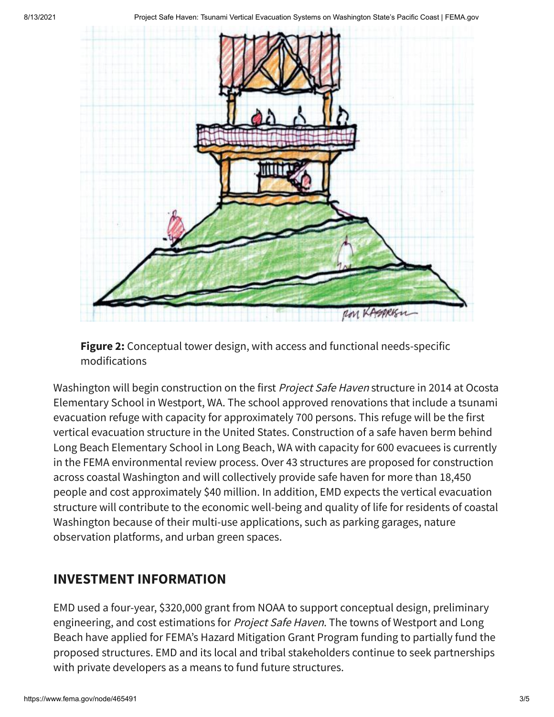



Washington will begin construction on the first Project Safe Haven structure in 2014 at Ocosta Elementary School in Westport, WA. The school approved renovations that include a tsunami evacuation refuge with capacity for approximately 700 persons. This refuge will be the first vertical evacuation structure in the United States. Construction of a safe haven berm behind Long Beach Elementary School in Long Beach, WA with capacity for 600 evacuees is currently in the FEMA environmental review process. Over 43 structures are proposed for construction across coastal Washington and will collectively provide safe haven for more than 18,450 people and cost approximately \$40 million. In addition, EMD expects the vertical evacuation structure will contribute to the economic well-being and quality of life for residents of coastal Washington because of their multi-use applications, such as parking garages, nature observation platforms, and urban green spaces.

### **INVESTMENT INFORMATION**

EMD used a four-year, \$320,000 grant from NOAA to support conceptual design, preliminary engineering, and cost estimations for Project Safe Haven. The towns of Westport and Long Beach have applied for FEMA's Hazard Mitigation Grant Program funding to partially fund the proposed structures. EMD and its local and tribal stakeholders continue to seek partnerships with private developers as a means to fund future structures.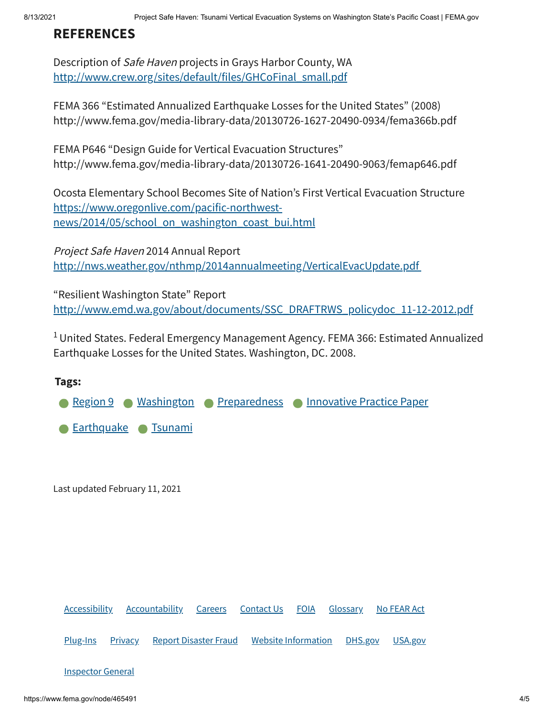#### **REFERENCES**

Description of Safe Haven projects in Grays Harbor County, WA [http://www.crew.org/sites/default/files/GHCoFinal\\_small.pdf](http://www.crew.org/sites/default/files/GHCoFinal_small.pdf)

FEMA 366 "Estimated Annualized Earthquake Losses for the United States" (2008) http://www.fema.gov/media-library-data/20130726-1627-20490-0934/fema366b.pdf

FEMA P646 "Design Guide for Vertical Evacuation Structures" http://www.fema.gov/media-library-data/20130726-1641-20490-9063/femap646.pdf

Ocosta Elementary School Becomes Site of Nation's First Vertical Evacuation Structure https://www.oregonlive.com/pacific-northwest[news/2014/05/school\\_on\\_washington\\_coast\\_bui.html](https://www.oregonlive.com/pacific-northwest-news/2014/05/school_on_washington_coast_bui.html)

Project Safe Haven 2014 Annual Report <http://nws.weather.gov/nthmp/2014annualmeeting/VerticalEvacUpdate.pdf>

"Resilient Washington State" Report [http://www.emd.wa.gov/about/documents/SSC\\_DRAFTRWS\\_policydoc\\_11-12-2012.pdf](http://www.emd.wa.gov/about/documents/SSC_DRAFTRWS_policydoc_11-12-2012.pdf)

<sup>1</sup> United States. Federal Emergency Management Agency. FEMA 366: Estimated Annualized Earthquake Losses for the United States. Washington, DC. 2008.

#### **Tags:**



Last updated February 11, 2021

[Accessibility](https://www.fema.gov/accessibility) [Accountability](https://www.fema.gov/about/reports-and-data/annual-reports) [Careers](https://www.fema.gov/careers) [Contact](https://www.fema.gov/about/contact) Us [FOIA](https://www.fema.gov/foia) [Glossary](https://www.fema.gov/about/glossary) No [FEAR](https://www.fema.gov/about/organization/equal-rights/no-fear-act) Act [Plug-Ins](https://www.fema.gov/about/website-information/plug-ins) [Privacy](https://www.fema.gov/about/privacy-policy) Report [Disaster](https://www.fema.gov/about/organization/security/disaster-fraud) Fraud Website [Information](https://www.fema.gov/about/website-information) [DHS.gov](https://dhs.gov/) [USA.gov](https://usa.gov/) **[Inspector](https://www.oig.dhs.gov/) General**